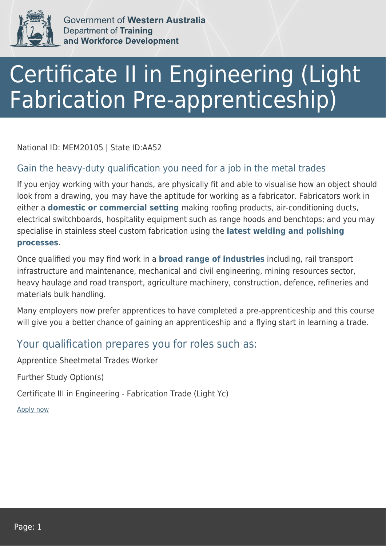

Government of Western Australia **Department of Training** and Workforce Development

## Certificate II in Engineering (Light Fabrication Pre-apprenticeship)

National ID: MEM20105 | State ID:AA52

## Gain the heavy-duty qualification you need for a job in the metal trades

If you enjoy working with your hands, are physically fit and able to visualise how an object should look from a drawing, you may have the aptitude for working as a fabricator. Fabricators work in either a **domestic or commercial setting** making roofing products, air-conditioning ducts, electrical switchboards, hospitality equipment such as range hoods and benchtops; and you may specialise in stainless steel custom fabrication using the **latest welding and polishing processes**.

Once qualified you may find work in a **broad range of industries** including, rail transport infrastructure and maintenance, mechanical and civil engineering, mining resources sector, heavy haulage and road transport, agriculture machinery, construction, defence, refineries and materials bulk handling.

Many employers now prefer apprentices to have completed a pre-apprenticeship and this course will give you a better chance of gaining an apprenticeship and a flying start in learning a trade.

## Your qualification prepares you for roles such as:

Apprentice Sheetmetal Trades Worker

Further Study Option(s)

Certificate III in Engineering - Fabrication Trade (Light Yc)

[Apply now](https://tasonline.tafe.wa.edu.au/Default.aspx)